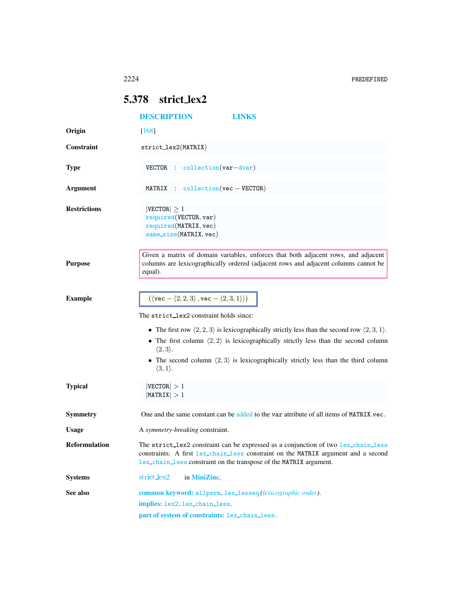## <span id="page-0-0"></span>5.378 strict lex2

<span id="page-0-1"></span>

|                      | <b>DESCRIPTION</b><br><b>LINKS</b>                                                                                                                                                                                                             |
|----------------------|------------------------------------------------------------------------------------------------------------------------------------------------------------------------------------------------------------------------------------------------|
| Origin               | $[168]$                                                                                                                                                                                                                                        |
| <b>Constraint</b>    | $strictlex2(MATRIX)$                                                                                                                                                                                                                           |
| <b>Type</b>          | $VECTOR$ : collection $(var-dvar)$                                                                                                                                                                                                             |
| <b>Argument</b>      | MATRIX : $\text{collection}(vec - VECTOR)$                                                                                                                                                                                                     |
| <b>Restrictions</b>  | $ {\tt VECTOR}  \geq 1$<br>required(VECTOR, var)<br>required(MATRIX, vec)<br>$same\_size(MATRIX, vec)$                                                                                                                                         |
| <b>Purpose</b>       | Given a matrix of domain variables, enforces that both adjacent rows, and adjacent<br>columns are lexicographically ordered (adjacent rows and adjacent columns cannot be<br>equal).                                                           |
| <b>Example</b>       | $(\langle \text{vec} - \langle 2, 2, 3 \rangle, \text{vec} - \langle 2, 3, 1 \rangle))$                                                                                                                                                        |
|                      | The strict lex2 constraint holds since:                                                                                                                                                                                                        |
|                      | • The first row $\langle 2, 2, 3 \rangle$ is lexicographically strictly less than the second row $\langle 2, 3, 1 \rangle$ .                                                                                                                   |
|                      | • The first column $\langle 2, 2 \rangle$ is lexicographically strictly less than the second column<br>$\langle 2,3 \rangle$ .                                                                                                                 |
|                      | • The second column $\langle 2,3 \rangle$ is lexicographically strictly less than the third column<br>$\langle 3, 1 \rangle$ .                                                                                                                 |
| <b>Typical</b>       | $ {\tt VECTOR}  > 1$<br>$ \texttt{MATRIX}  > 1$                                                                                                                                                                                                |
| Symmetry             | One and the same constant can be added to the var attribute of all items of MATRIX.vec.                                                                                                                                                        |
| <b>Usage</b>         | A symmetry-breaking constraint.                                                                                                                                                                                                                |
| <b>Reformulation</b> | The strict_lex2 constraint can be expressed as a conjunction of two lex_chain_less<br>constraints: A first lex_chain_less constraint on the MATRIX argument and a second<br>lex_chain_less constraint on the transpose of the MATRIX argument. |
| <b>Systems</b>       | $strict$ <sub>lex2</sub><br>in MiniZinc.                                                                                                                                                                                                       |
| See also             | common keyword: allperm, lex_lesseq(lexicographic order).                                                                                                                                                                                      |
|                      | implies: lex2, lex_chain_less.                                                                                                                                                                                                                 |
|                      | part of system of constraints: lex_chain_less.                                                                                                                                                                                                 |